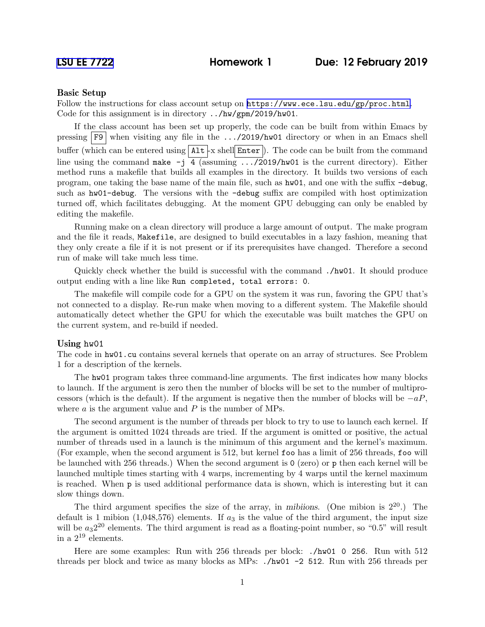## Basic Setup

Follow the instructions for class account setup on <https://www.ece.lsu.edu/gp/proc.html>. Code for this assignment is in directory ../hw/gpm/2019/hw01.

If the class account has been set up properly, the code can be built from within Emacs by pressing  $\overline{F9}$  when visiting any file in the .../2019/hw01 directory or when in an Emacs shell buffer (which can be entered using  $\text{Alt}$  -x shell Enter ). The code can be built from the command line using the command make  $-j$  4 (assuming  $\ldots$ /2019/hw01 is the current directory). Either method runs a makefile that builds all examples in the directory. It builds two versions of each program, one taking the base name of the main file, such as hw01, and one with the suffix -debug, such as hw01-debug. The versions with the -debug suffix are compiled with host optimization turned off, which facilitates debugging. At the moment GPU debugging can only be enabled by editing the makefile.

Running make on a clean directory will produce a large amount of output. The make program and the file it reads, Makefile, are designed to build executables in a lazy fashion, meaning that they only create a file if it is not present or if its prerequisites have changed. Therefore a second run of make will take much less time.

Quickly check whether the build is successful with the command ./hw01. It should produce output ending with a line like Run completed, total errors: 0.

The makefile will compile code for a GPU on the system it was run, favoring the GPU that's not connected to a display. Re-run make when moving to a different system. The Makefile should automatically detect whether the GPU for which the executable was built matches the GPU on the current system, and re-build if needed.

## Using hw01

The code in hw01.cu contains several kernels that operate on an array of structures. See Problem 1 for a description of the kernels.

The hw01 program takes three command-line arguments. The first indicates how many blocks to launch. If the argument is zero then the number of blocks will be set to the number of multiprocessors (which is the default). If the argument is negative then the number of blocks will be  $-aP$ , where  $a$  is the argument value and  $P$  is the number of MPs.

The second argument is the number of threads per block to try to use to launch each kernel. If the argument is omitted 1024 threads are tried. If the argument is omitted or positive, the actual number of threads used in a launch is the minimum of this argument and the kernel's maximum. (For example, when the second argument is 512, but kernel foo has a limit of 256 threads, foo will be launched with 256 threads.) When the second argument is 0 (zero) or p then each kernel will be launched multiple times starting with 4 warps, incrementing by 4 warps until the kernel maximum is reached. When p is used additional performance data is shown, which is interesting but it can slow things down.

The third argument specifies the size of the array, in mibiions. (One mibion is  $2^{20}$ .) The default is 1 mibion (1,048,576) elements. If  $a_3$  is the value of the third argument, the input size will be  $a_3 2^{20}$  elements. The third argument is read as a floating-point number, so "0.5" will result in a  $2^{19}$  elements.

Here are some examples: Run with 256 threads per block: ./hw01 0 256. Run with 512 threads per block and twice as many blocks as MPs: ./hw01 -2 512. Run with 256 threads per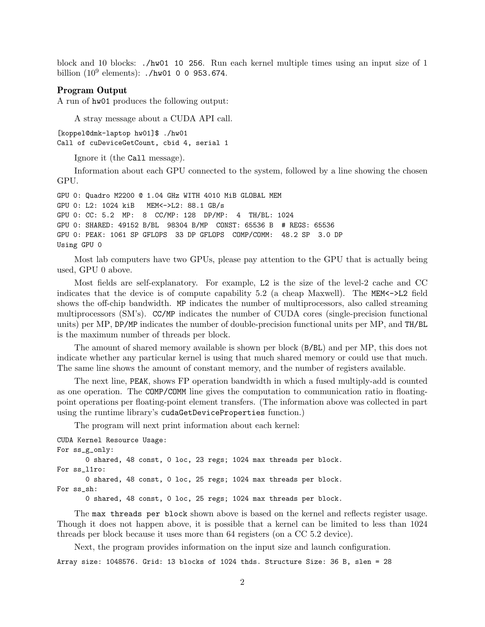block and 10 blocks: ./hw01 10 256. Run each kernel multiple times using an input size of 1 billion  $(10^9 \text{ elements})$ : ./hw01 0 0 953.674.

## Program Output

A run of hw01 produces the following output:

A stray message about a CUDA API call.

[koppel@dmk-laptop hw01]\$ ./hw01 Call of cuDeviceGetCount, cbid 4, serial 1

Ignore it (the Call message).

Information about each GPU connected to the system, followed by a line showing the chosen GPU.

GPU 0: Quadro M2200 @ 1.04 GHz WITH 4010 MiB GLOBAL MEM GPU 0: L2: 1024 kiB MEM<->L2: 88.1 GB/s GPU 0: CC: 5.2 MP: 8 CC/MP: 128 DP/MP: 4 TH/BL: 1024 GPU 0: SHARED: 49152 B/BL 98304 B/MP CONST: 65536 B # REGS: 65536 GPU 0: PEAK: 1061 SP GFLOPS 33 DP GFLOPS COMP/COMM: 48.2 SP 3.0 DP Using GPU 0

Most lab computers have two GPUs, please pay attention to the GPU that is actually being used, GPU 0 above.

Most fields are self-explanatory. For example, L2 is the size of the level-2 cache and CC indicates that the device is of compute capability 5.2 (a cheap Maxwell). The MEM< $\sim$  $\geq$ L2 field shows the off-chip bandwidth. MP indicates the number of multiprocessors, also called streaming multiprocessors (SM's). CC/MP indicates the number of CUDA cores (single-precision functional units) per MP, DP/MP indicates the number of double-precision functional units per MP, and TH/BL is the maximum number of threads per block.

The amount of shared memory available is shown per block (B/BL) and per MP, this does not indicate whether any particular kernel is using that much shared memory or could use that much. The same line shows the amount of constant memory, and the number of registers available.

The next line, PEAK, shows FP operation bandwidth in which a fused multiply-add is counted as one operation. The COMP/COMM line gives the computation to communication ratio in floatingpoint operations per floating-point element transfers. (The information above was collected in part using the runtime library's cudaGetDeviceProperties function.)

The program will next print information about each kernel:

CUDA Kernel Resource Usage: For ss\_g\_only: 0 shared, 48 const, 0 loc, 23 regs; 1024 max threads per block. For ss\_l1ro: 0 shared, 48 const, 0 loc, 25 regs; 1024 max threads per block. For ss\_sh:

0 shared, 48 const, 0 loc, 25 regs; 1024 max threads per block.

The max threads per block shown above is based on the kernel and reflects register usage. Though it does not happen above, it is possible that a kernel can be limited to less than 1024 threads per block because it uses more than 64 registers (on a CC 5.2 device).

Next, the program provides information on the input size and launch configuration. Array size: 1048576. Grid: 13 blocks of 1024 thds. Structure Size: 36 B, slen = 28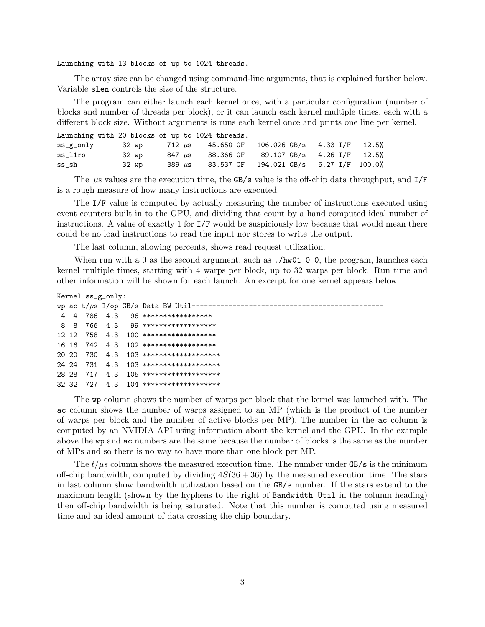Launching with 13 blocks of up to 1024 threads.

The array size can be changed using command-line arguments, that is explained further below. Variable slen controls the size of the structure.

The program can either launch each kernel once, with a particular configuration (number of blocks and number of threads per block), or it can launch each kernel multiple times, each with a different block size. Without arguments is runs each kernel once and prints one line per kernel.

|          |       | Launching with 20 blocks of up to 1024 threads. |                                                              |  |
|----------|-------|-------------------------------------------------|--------------------------------------------------------------|--|
|          |       |                                                 | ss_g_only 32 wp 712 µs 45.650 GF 106.026 GB/s 4.33 I/F 12.5% |  |
| ss liro  | 32 wp |                                                 | 847 $\mu$ s 38.366 GF 89.107 GB/s 4.26 I/F 12.5%             |  |
| $ss\_sh$ | 32 wp |                                                 | 389 $\mu$ s 83.537 GF 194.021 GB/s 5.27 I/F 100.0%           |  |

The  $\mu$ s values are the execution time, the GB/s value is the off-chip data throughput, and I/F is a rough measure of how many instructions are executed.

The I/F value is computed by actually measuring the number of instructions executed using event counters built in to the GPU, and dividing that count by a hand computed ideal number of instructions. A value of exactly 1 for I/F would be suspiciously low because that would mean there could be no load instructions to read the input nor stores to write the output.

The last column, showing percents, shows read request utilization.

When run with a 0 as the second argument, such as  $./hw01$  0 0, the program, launches each kernel multiple times, starting with 4 warps per block, up to 32 warps per block. Run time and other information will be shown for each launch. An excerpt for one kernel appears below:

```
Kernel ss_g_only:
```

|  |  | wp ac $t/\mu s$ I/op GB/s Data BW Util-------  |
|--|--|------------------------------------------------|
|  |  | 4 4 786 4.3 96 ******************              |
|  |  | 8 8 766 4.3 99 *******************             |
|  |  | $12 \t12 \t758 \t4.3 \t100$ ****************** |
|  |  | $16$ 16 742 4.3 102 *******************        |
|  |  | 20 20 730 4.3 103 ********************         |
|  |  | 24 24 731 4.3 103 *********************        |
|  |  | 28 28 717 4.3 105 ********************         |
|  |  | 32 32 727 4.3 104 ********************         |

The wp column shows the number of warps per block that the kernel was launched with. The ac column shows the number of warps assigned to an MP (which is the product of the number of warps per block and the number of active blocks per MP). The number in the ac column is computed by an NVIDIA API using information about the kernel and the GPU. In the example above the wp and ac numbers are the same because the number of blocks is the same as the number of MPs and so there is no way to have more than one block per MP.

The  $t/\mu s$  column shows the measured execution time. The number under GB/s is the minimum off-chip bandwidth, computed by dividing  $4S(36 + 36)$  by the measured execution time. The stars in last column show bandwidth utilization based on the GB/s number. If the stars extend to the maximum length (shown by the hyphens to the right of Bandwidth Util in the column heading) then off-chip bandwidth is being saturated. Note that this number is computed using measured time and an ideal amount of data crossing the chip boundary.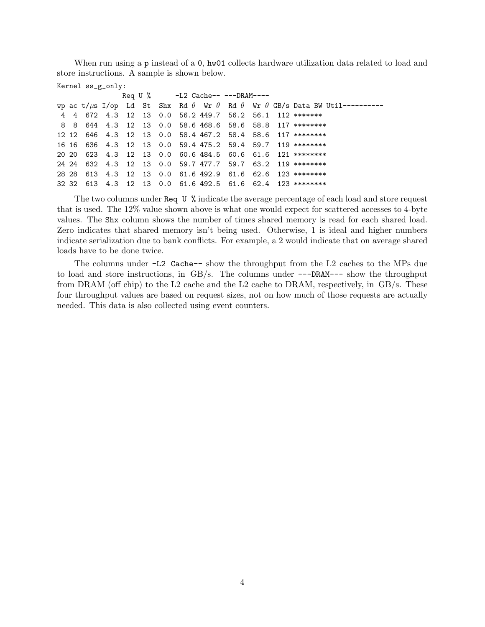When run using a p instead of a 0, hw01 collects hardware utilization data related to load and store instructions. A sample is shown below.

```
Kernel ss_g_only:
```

|  |  |  |  | Req U % $-L2$ Cache-- ---DRAM---- |  |                                                                                                            |
|--|--|--|--|-----------------------------------|--|------------------------------------------------------------------------------------------------------------|
|  |  |  |  |                                   |  | wp ac t/ $\mu$ s I/op Ld St Shx Rd $\theta$ Wr $\theta$ Rd $\theta$ Wr $\theta$ GB/s Data BW Util--------- |
|  |  |  |  |                                   |  | 4 4 672 4.3 12 13 0.0 56.2 449.7 56.2 56.1 112 *******                                                     |
|  |  |  |  |                                   |  | 8 8 644 4.3 12 13 0.0 58.6 468.6 58.6 58.8 117 ********                                                    |
|  |  |  |  |                                   |  | 12 12 646 4.3 12 13 0.0 58.4 467.2 58.4 58.6 117 ********                                                  |
|  |  |  |  |                                   |  | 16 16 636 4.3 12 13 0.0 59.4 475.2 59.4 59.7 119 ********                                                  |
|  |  |  |  |                                   |  | 20 20 623 4.3 12 13 0.0 60.6 484.5 60.6 61.6 121 ********                                                  |
|  |  |  |  |                                   |  | 24 24 632 4.3 12 13 0.0 59.7 477.7 59.7 63.2 119 ********                                                  |
|  |  |  |  |                                   |  | 28 28 613 4.3 12 13 0.0 61.6 492.9 61.6 62.6 123 ********                                                  |
|  |  |  |  |                                   |  | 32 32 613 4.3 12 13 0.0 61.6 492.5 61.6 62.4 123 ********                                                  |

The two columns under Req U % indicate the average percentage of each load and store request that is used. The 12% value shown above is what one would expect for scattered accesses to 4-byte values. The Shx column shows the number of times shared memory is read for each shared load. Zero indicates that shared memory isn't being used. Otherwise, 1 is ideal and higher numbers indicate serialization due to bank conflicts. For example, a 2 would indicate that on average shared loads have to be done twice.

The columns under -L2 Cache-- show the throughput from the L2 caches to the MPs due to load and store instructions, in GB/s. The columns under ---DRAM--- show the throughput from DRAM (off chip) to the L2 cache and the L2 cache to DRAM, respectively, in  $GB/s$ . These four throughput values are based on request sizes, not on how much of those requests are actually needed. This data is also collected using event counters.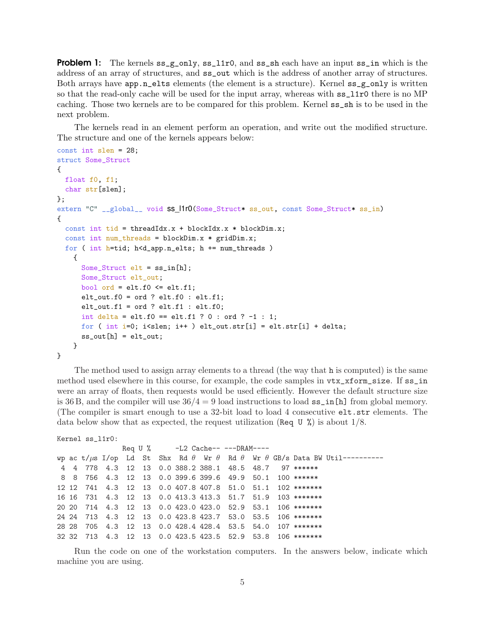**Problem 1:** The kernels  $ss_{g}$  only,  $ss_{1}$  and  $ss_{sh}$  each have an input ss<sub>i</sub>n which is the address of an array of structures, and ss\_out which is the address of another array of structures. Both arrays have app.n\_elts elements (the element is a structure). Kernel  $ss_g$  only is written so that the read-only cache will be used for the input array, whereas with ss\_l1r0 there is no MP caching. Those two kernels are to be compared for this problem. Kernel ss\_sh is to be used in the next problem.

The kernels read in an element perform an operation, and write out the modified structure. The structure and one of the kernels appears below:

```
const int slen = 28;
struct Some_Struct
{
 float f0, f1;
  char str[slen];
};
extern "C" __global__ void ss_l1r0(Some_Struct* ss_out, const Some_Struct* ss_in)
{
  const int tid = threadIdx.x + blockIdx.x * blockDim.x;
  const int num_threads = blockDim.x * gridDim.x;
  for ( int h=tid; h<d_app.n_elts; h += num_threads )
    {
      Some_Struct elt = ss_in[h];
      Some_Struct elt_out;
      bool ord = elt.f0 <= elt.f1;
      elt_out.f0 = ord ? elt.f0 : elt.f1;
      elt_out.f1 = ord ? elt.f1 : elt.f0;
      int delta = elt.f0 == elt.f1 ? 0 : ord ? -1 : 1;
      for ( int i=0; i < slen; i + + ) elt\_out.str[i] = elt.str[i] + delta;
      ss_out[h] = elt_out;}
}
```
The method used to assign array elements to a thread (the way that h is computed) is the same method used elsewhere in this course, for example, the code samples in vtx\_xform\_size. If ss\_in were an array of floats, then requests would be used efficiently. However the default structure size is 36 B, and the compiler will use  $36/4 = 9$  load instructions to load  $ss_in[h]$  from global memory. (The compiler is smart enough to use a 32-bit load to load 4 consecutive elt.str elements. The data below show that as expected, the request utilization (Req U %) is about  $1/8$ .

```
Kernel ss_l1r0:
```

```
Req U % -L2 Cache---DRAM---wp ac t/\mus I/op Ld St Shx Rd \theta Wr \theta Rd \theta Wr \theta GB/s Data BW Util---------
4 4 778 4.3 12 13 0.0 388.2 388.1 48.5 48.7 97 ******
8 8 756 4.3 12 13 0.0 399.6 399.6 49.9 50.1 100 ******
12 12 741 4.3 12 13 0.0 407.8 407.8 51.0 51.1 102 *******
16 16 731 4.3 12 13 0.0 413.3 413.3 51.7 51.9 103 *******
20 20 714 4.3 12 13 0.0 423.0 423.0 52.9 53.1 106 *******
24 24 713 4.3 12 13 0.0 423.8 423.7 53.0 53.5 106 *******
28 28 705 4.3 12 13 0.0 428.4 428.4 53.5 54.0 107 *******
32 32 713 4.3 12 13 0.0 423.5 423.5 52.9 53.8 106 *******
```
Run the code on one of the workstation computers. In the answers below, indicate which machine you are using.